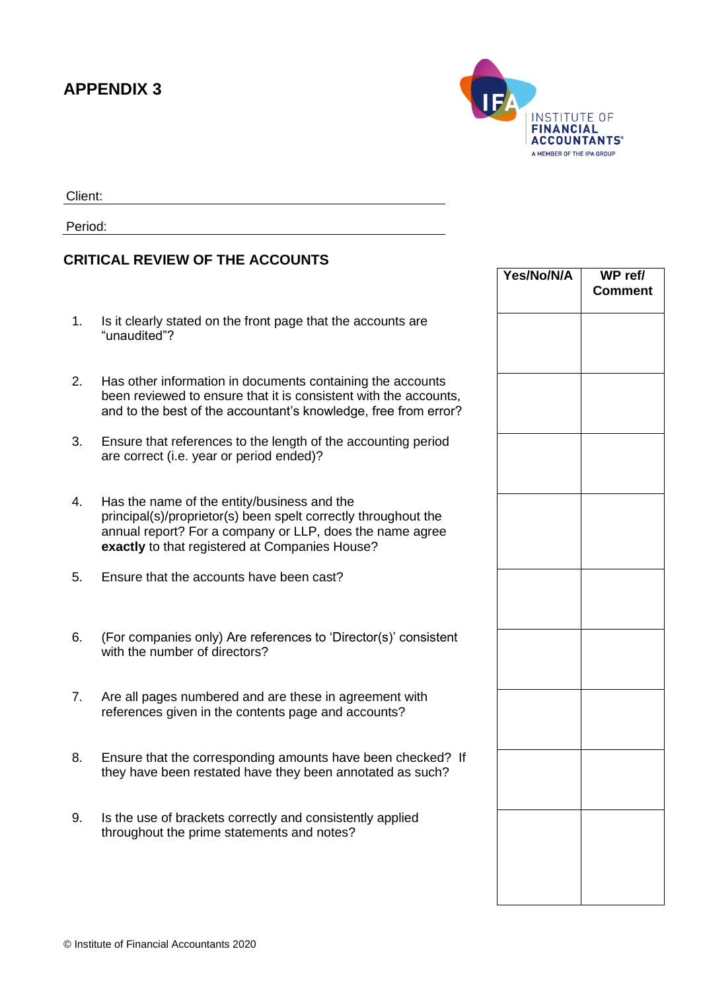## **APPENDIX 3**



Client:

Period:

## **CRITICAL REVIEW OF THE ACCOUNTS**

- 1. Is it clearly stated on the front page that the accounts are "unaudited"?
- 2. Has other information in documents containing the accounts been reviewed to ensure that it is consistent with the accounts, and to the best of the accountant's knowledge, free from error?
- 3. Ensure that references to the length of the accounting period are correct (i.e. year or period ended)?
- 4. Has the name of the entity/business and the principal(s)/proprietor(s) been spelt correctly throughout the annual report? For a company or LLP, does the name agree **exactly** to that registered at Companies House?
- 5. Ensure that the accounts have been cast?
- 6. (For companies only) Are references to 'Director(s)' consistent with the number of directors?
- 7. Are all pages numbered and are these in agreement with references given in the contents page and accounts?
- 8. Ensure that the corresponding amounts have been checked? If they have been restated have they been annotated as such?
- 9. Is the use of brackets correctly and consistently applied throughout the prime statements and notes?

| Yes/No/N/A | WP ref/<br><b>Comment</b> |
|------------|---------------------------|
|            |                           |
|            |                           |
|            |                           |
|            |                           |
|            |                           |
|            |                           |
|            |                           |
|            |                           |
|            |                           |
|            |                           |
|            |                           |
|            |                           |
|            |                           |